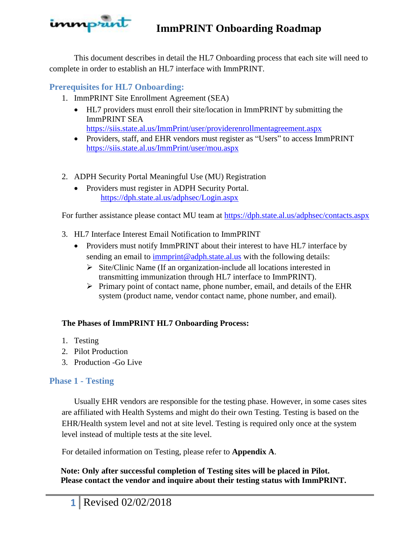

This document describes in detail the HL7 Onboarding process that each site will need to complete in order to establish an HL7 interface with ImmPRINT.

# **Prerequisites for HL7 Onboarding:**

- 1. ImmPRINT Site Enrollment Agreement (SEA)
	- HL7 providers must enroll their site/location in ImmPRINT by submitting the ImmPRINT SEA <https://siis.state.al.us/ImmPrint/user/providerenrollmentagreement.aspx>
	- Providers, staff, and EHR vendors must register as "Users" to access ImmPRINT <https://siis.state.al.us/ImmPrint/user/mou.aspx>
- 2. ADPH Security Portal Meaningful Use (MU) Registration
	- Providers must register in ADPH Security Portal. <https://dph.state.al.us/adphsec/Login.aspx>

For further assistance please contact MU team at<https://dph.state.al.us/adphsec/contacts.aspx>

- 3. HL7 Interface Interest Email Notification to ImmPRINT
	- Providers must notify ImmPRINT about their interest to have HL7 interface by sending an email to [immprint@adph.state.al.us](mailto:immprint@adph.state.al.us) with the following details:
		- $\triangleright$  Site/Clinic Name (If an organization-include all locations interested in transmitting immunization through HL7 interface to ImmPRINT).
		- $\triangleright$  Primary point of contact name, phone number, email, and details of the EHR system (product name, vendor contact name, phone number, and email).

## **The Phases of ImmPRINT HL7 Onboarding Process:**

- 1. Testing
- 2. Pilot Production
- 3. Production -Go Live

## **Phase 1 - Testing**

Usually EHR vendors are responsible for the testing phase. However, in some cases sites are affiliated with Health Systems and might do their own Testing. Testing is based on the EHR/Health system level and not at site level. Testing is required only once at the system level instead of multiple tests at the site level.

For detailed information on Testing, please refer to **Appendix A**.

**Note: Only after successful completion of Testing sites will be placed in Pilot. Please contact the vendor and inquire about their testing status with ImmPRINT.**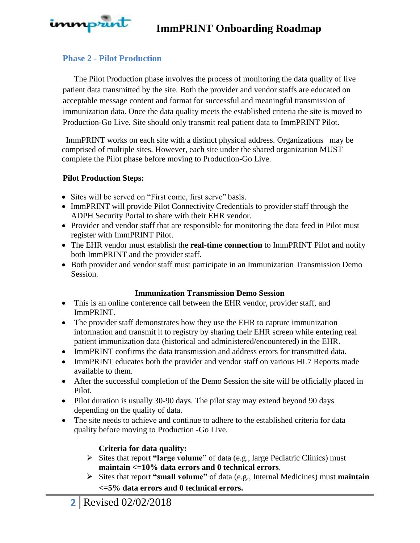

## **Phase 2 - Pilot Production**

The Pilot Production phase involves the process of monitoring the data quality of live patient data transmitted by the site. Both the provider and vendor staffs are educated on acceptable message content and format for successful and meaningful transmission of immunization data. Once the data quality meets the established criteria the site is moved to Production-Go Live. Site should only transmit real patient data to ImmPRINT Pilot.

 ImmPRINT works on each site with a distinct physical address. Organizations may be comprised of multiple sites. However, each site under the shared organization MUST complete the Pilot phase before moving to Production-Go Live.

### **Pilot Production Steps:**

- Sites will be served on "First come, first serve" basis.
- ImmPRINT will provide Pilot Connectivity Credentials to provider staff through the ADPH Security Portal to share with their EHR vendor.
- Provider and vendor staff that are responsible for monitoring the data feed in Pilot must register with ImmPRINT Pilot.
- The EHR vendor must establish the **real-time connection** to ImmPRINT Pilot and notify both ImmPRINT and the provider staff.
- Both provider and vendor staff must participate in an Immunization Transmission Demo Session.

### **Immunization Transmission Demo Session**

- This is an online conference call between the EHR vendor, provider staff, and ImmPRINT.
- The provider staff demonstrates how they use the EHR to capture immunization information and transmit it to registry by sharing their EHR screen while entering real patient immunization data (historical and administered/encountered) in the EHR.
- ImmPRINT confirms the data transmission and address errors for transmitted data.
- ImmPRINT educates both the provider and vendor staff on various HL7 Reports made available to them.
- After the successful completion of the Demo Session the site will be officially placed in Pilot.
- Pilot duration is usually 30-90 days. The pilot stay may extend beyond 90 days depending on the quality of data.
- The site needs to achieve and continue to adhere to the established criteria for data quality before moving to Production -Go Live.

### **Criteria for data quality:**

- Sites that report **"large volume"** of data (e.g., large Pediatric Clinics) must **maintain <=10% data errors and 0 technical errors**.
- Sites that report **"small volume"** of data (e.g., Internal Medicines) must **maintain <=5% data errors and 0 technical errors.**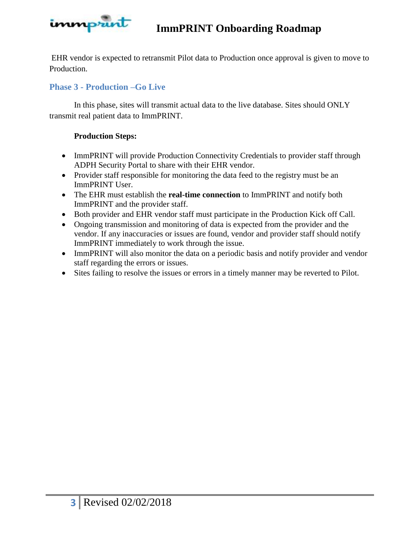

EHR vendor is expected to retransmit Pilot data to Production once approval is given to move to Production.

# **Phase 3 - Production –Go Live**

In this phase, sites will transmit actual data to the live database. Sites should ONLY transmit real patient data to ImmPRINT.

### **Production Steps:**

- ImmPRINT will provide Production Connectivity Credentials to provider staff through ADPH Security Portal to share with their EHR vendor.
- Provider staff responsible for monitoring the data feed to the registry must be an ImmPRINT User.
- The EHR must establish the **real-time connection** to ImmPRINT and notify both ImmPRINT and the provider staff.
- Both provider and EHR vendor staff must participate in the Production Kick off Call.
- Ongoing transmission and monitoring of data is expected from the provider and the vendor. If any inaccuracies or issues are found, vendor and provider staff should notify ImmPRINT immediately to work through the issue.
- ImmPRINT will also monitor the data on a periodic basis and notify provider and vendor staff regarding the errors or issues.
- Sites failing to resolve the issues or errors in a timely manner may be reverted to Pilot.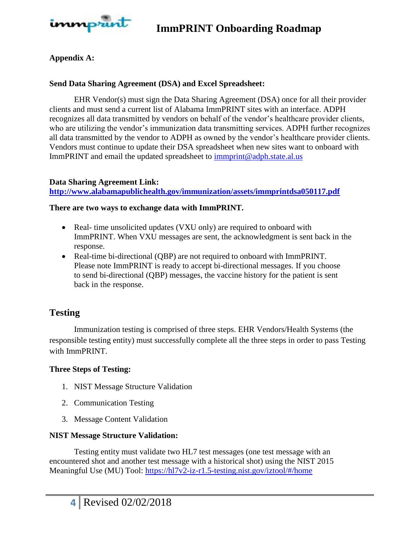

### **Appendix A:**

### **Send Data Sharing Agreement (DSA) and Excel Spreadsheet:**

EHR Vendor(s) must sign the Data Sharing Agreement (DSA) once for all their provider clients and must send a current list of Alabama ImmPRINT sites with an interface. ADPH recognizes all data transmitted by vendors on behalf of the vendor's healthcare provider clients, who are utilizing the vendor's immunization data transmitting services. ADPH further recognizes all data transmitted by the vendor to ADPH as owned by the vendor's healthcare provider clients. Vendors must continue to update their DSA spreadsheet when new sites want to onboard with ImmPRINT and email the updated spreadsheet to [immprint@adph.state.al.us](mailto:immprint@adph.state.al.us)

#### **Data Sharing Agreement Link:**

**<http://www.alabamapublichealth.gov/immunization/assets/immprintdsa050117.pdf>**

#### **There are two ways to exchange data with ImmPRINT.**

- Real- time unsolicited updates (VXU only) are required to onboard with ImmPRINT. When VXU messages are sent, the acknowledgment is sent back in the response.
- Real-time bi-directional (QBP) are not required to onboard with ImmPRINT. Please note ImmPRINT is ready to accept bi-directional messages. If you choose to send bi-directional (QBP) messages, the vaccine history for the patient is sent back in the response.

## **Testing**

Immunization testing is comprised of three steps. EHR Vendors/Health Systems (the responsible testing entity) must successfully complete all the three steps in order to pass Testing with ImmPRINT.

#### **Three Steps of Testing:**

- 1. NIST Message Structure Validation
- 2. Communication Testing
- 3. Message Content Validation

#### **NIST Message Structure Validation:**

Testing entity must validate two HL7 test messages (one test message with an encountered shot and another test message with a historical shot) using the NIST 2015 Meaningful Use (MU) Tool:<https://hl7v2-iz-r1.5-testing.nist.gov/iztool/#/home>